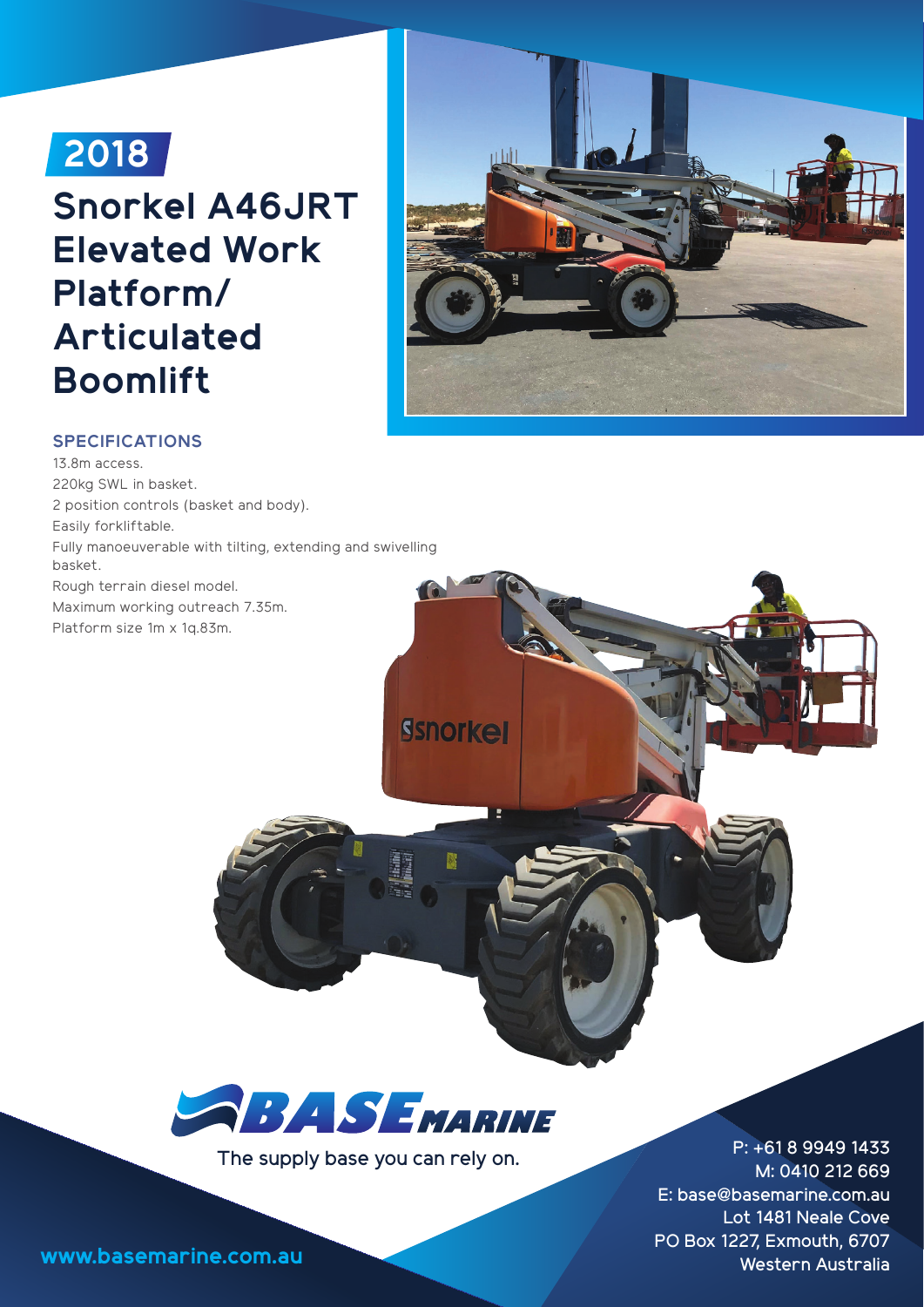# **2018**

# **Snorkel A46JRT Elevated Work Platform/ Articulated Boomlift**



## **SPECIFICATIONS**

13.8m access. 220kg SWL in basket. 2 position controls (basket and body). Easily forkliftable. Fully manoeuverable with tilting, extending and swivelling basket. Rough terrain diesel model. **If** o Maximum working outreach 7.35m. Platform size 1m x 1q.83m.



**Ssnorkel** 

The supply base you can rely on. P: +61 8 9949 1433 M: 0410 212 669 E: base@basemarine.com.au Lot 1481 Neale Cove PO Box 1227, Exmouth, 6707 **www.basemarine.com.au** Western Australia